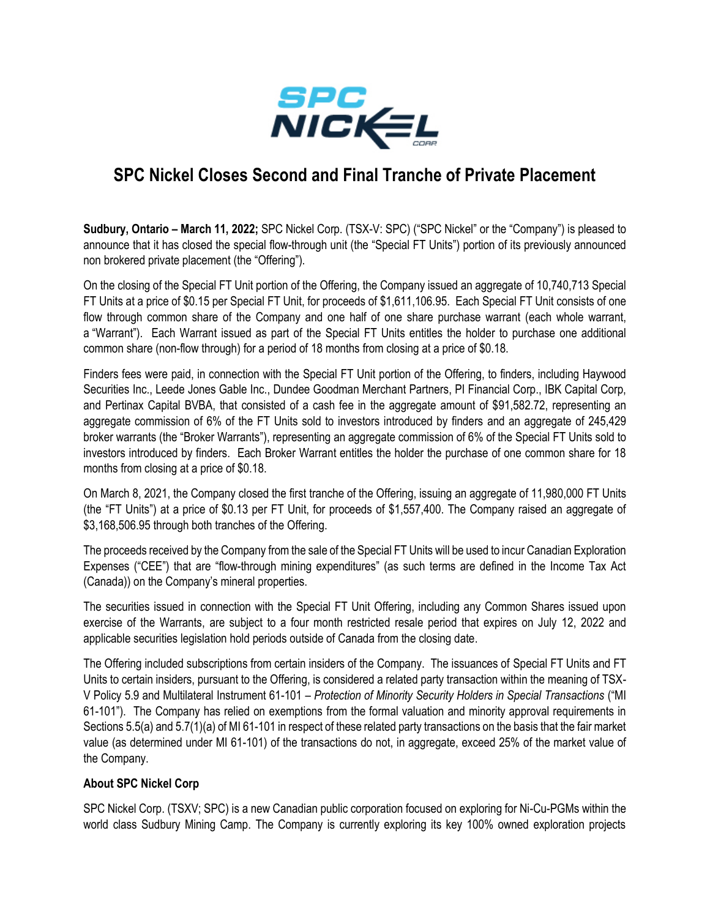

## **SPC Nickel Closes Second and Final Tranche of Private Placement**

**Sudbury, Ontario – March 11, 2022;** SPC Nickel Corp. (TSX-V: SPC) ("SPC Nickel" or the "Company") is pleased to announce that it has closed the special flow-through unit (the "Special FT Units") portion of its previously announced non brokered private placement (the "Offering").

On the closing of the Special FT Unit portion of the Offering, the Company issued an aggregate of 10,740,713 Special FT Units at a price of \$0.15 per Special FT Unit, for proceeds of \$1,611,106.95. Each Special FT Unit consists of one flow through common share of the Company and one half of one share purchase warrant (each whole warrant, a "Warrant"). Each Warrant issued as part of the Special FT Units entitles the holder to purchase one additional common share (non-flow through) for a period of 18 months from closing at a price of \$0.18.

Finders fees were paid, in connection with the Special FT Unit portion of the Offering, to finders, including Haywood Securities Inc., Leede Jones Gable Inc., Dundee Goodman Merchant Partners, PI Financial Corp., IBK Capital Corp, and Pertinax Capital BVBA, that consisted of a cash fee in the aggregate amount of \$91,582.72, representing an aggregate commission of 6% of the FT Units sold to investors introduced by finders and an aggregate of 245,429 broker warrants (the "Broker Warrants"), representing an aggregate commission of 6% of the Special FT Units sold to investors introduced by finders. Each Broker Warrant entitles the holder the purchase of one common share for 18 months from closing at a price of \$0.18.

On March 8, 2021, the Company closed the first tranche of the Offering, issuing an aggregate of 11,980,000 FT Units (the "FT Units") at a price of \$0.13 per FT Unit, for proceeds of \$1,557,400. The Company raised an aggregate of \$3,168,506.95 through both tranches of the Offering.

The proceeds received by the Company from the sale of the Special FT Units will be used to incur Canadian Exploration Expenses ("CEE") that are "flow-through mining expenditures" (as such terms are defined in the Income Tax Act (Canada)) on the Company's mineral properties.

The securities issued in connection with the Special FT Unit Offering, including any Common Shares issued upon exercise of the Warrants, are subject to a four month restricted resale period that expires on July 12, 2022 and applicable securities legislation hold periods outside of Canada from the closing date.

The Offering included subscriptions from certain insiders of the Company. The issuances of Special FT Units and FT Units to certain insiders, pursuant to the Offering, is considered a related party transaction within the meaning of TSX-V Policy 5.9 and Multilateral Instrument 61-101 – *Protection of Minority Security Holders in Special Transactions* ("MI 61-101"). The Company has relied on exemptions from the formal valuation and minority approval requirements in Sections 5.5(a) and 5.7(1)(a) of MI 61-101 in respect of these related party transactions on the basis that the fair market value (as determined under MI 61-101) of the transactions do not, in aggregate, exceed 25% of the market value of the Company.

## **About SPC Nickel Corp**

SPC Nickel Corp. (TSXV; SPC) is a new Canadian public corporation focused on exploring for Ni-Cu-PGMs within the world class Sudbury Mining Camp. The Company is currently exploring its key 100% owned exploration projects